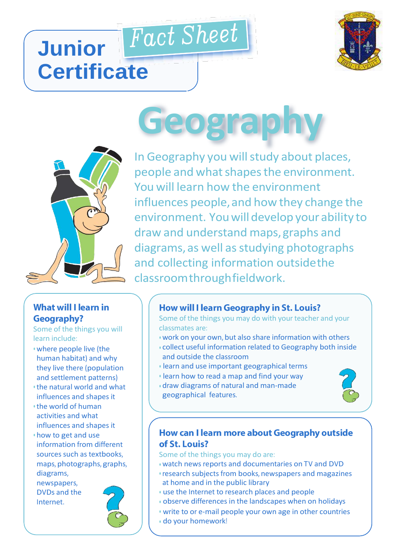# Fact Sheet **Junior Certificate**





#### **What will I learn in Geography?**

Some of the things you will learn include:

- where people live (the human habitat) and why they live there (population and settlement patterns)
- the natural world and what influences and shapes it
- the world of human activities and what influences and shapes it
- how to get and use information from different sources such as textbooks, maps, photographs, graphs, diagrams,

newspapers, DVDs and the Internet.



# **Geography**

In Geography you will study about places, people and what shapes the environment. You will learn how the environment influences people,and how they change the environment. Youwilldevelop your ability to draw and understand maps,graphs and diagrams, as well as studying photographs and collecting information outsidethe classroomthroughfieldwork.

### **How will I learn Geography in St. Louis?**

Some of the things you may do with your teacher and your classmates are:

- work on your own, but also share information with others
- collect useful information related to Geography both inside and outside the classroom
- learn and use important geographical terms
- learn how to read a map and find your way
- draw diagrams of natural and man-made geographical features.



#### How can I learn more about Geography outside of St. Louis?

Some of the things you may do are:

- watch news reports and documentaries on TV and DVD
- research subjects from books, newspapers and magazines at home and in the public library
- use the Internet to research places and people
- observe differences in the landscapes when on holidays
- write to or e-mail people your own age in other countries
- do your homework!